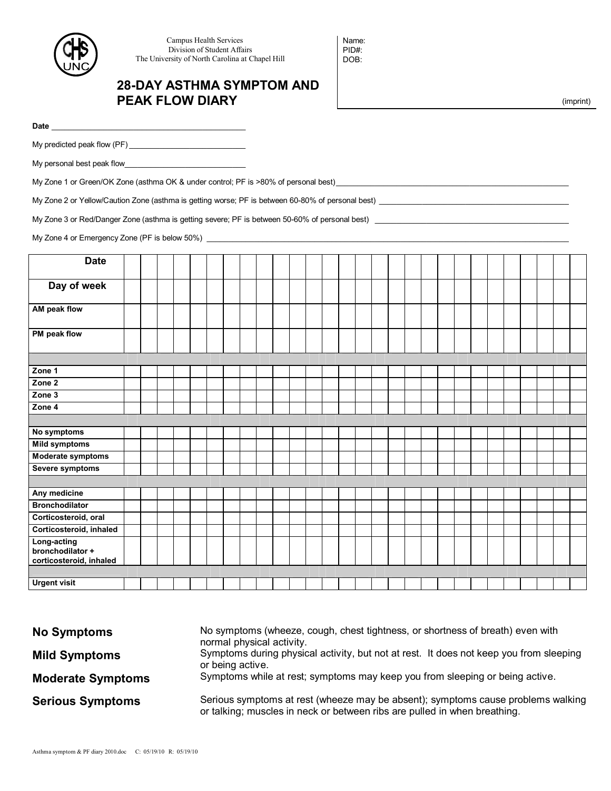

 Campus Health Services Division of Student Affairs The University of North Carolina at Chapel Hill

## **28-DAY ASTHMA SYMPTOM AND PEAK FLOW DIARY**

Name: PID#: DOB:

(imprint)

| <b>Date</b> |  |
|-------------|--|
|             |  |

My predicted peak flow (PF) \_\_\_\_\_\_\_\_\_\_\_\_\_\_\_\_\_\_\_\_\_\_\_\_\_\_\_

My personal best peak flow\_\_\_\_\_\_\_\_\_\_\_\_\_\_\_\_\_\_\_\_\_\_\_\_\_\_\_\_

My Zone 1 or Green/OK Zone (asthma OK & under control; PF is >80% of personal best)

My Zone 2 or Yellow/Caution Zone (asthma is getting worse; PF is between 60-80% of personal best) \_\_\_\_\_\_\_\_\_\_\_\_\_\_\_\_\_\_\_\_\_\_\_\_\_\_\_\_\_\_\_\_\_\_\_\_\_\_\_\_\_\_\_\_

My Zone 3 or Red/Danger Zone (asthma is getting severe; PF is between 50-60% of personal best) \_\_\_\_\_\_\_\_\_\_\_\_\_\_\_\_\_\_\_\_\_\_\_\_\_\_\_\_\_\_\_\_\_\_\_\_\_\_\_\_\_\_\_\_\_

My Zone 4 or Emergency Zone (PF is below 50%) \_\_\_\_\_\_\_\_\_\_\_\_\_\_\_\_\_\_\_\_\_\_\_\_\_\_\_\_\_\_\_\_\_\_

| <b>Date</b>                                                |  |  |  |  |  |  |  |  |  |  |  |  |  |  |  |  |  |  |  |
|------------------------------------------------------------|--|--|--|--|--|--|--|--|--|--|--|--|--|--|--|--|--|--|--|
|                                                            |  |  |  |  |  |  |  |  |  |  |  |  |  |  |  |  |  |  |  |
| Day of week                                                |  |  |  |  |  |  |  |  |  |  |  |  |  |  |  |  |  |  |  |
| AM peak flow                                               |  |  |  |  |  |  |  |  |  |  |  |  |  |  |  |  |  |  |  |
| PM peak flow                                               |  |  |  |  |  |  |  |  |  |  |  |  |  |  |  |  |  |  |  |
|                                                            |  |  |  |  |  |  |  |  |  |  |  |  |  |  |  |  |  |  |  |
| Zone 1                                                     |  |  |  |  |  |  |  |  |  |  |  |  |  |  |  |  |  |  |  |
| Zone 2                                                     |  |  |  |  |  |  |  |  |  |  |  |  |  |  |  |  |  |  |  |
| Zone 3                                                     |  |  |  |  |  |  |  |  |  |  |  |  |  |  |  |  |  |  |  |
| Zone 4                                                     |  |  |  |  |  |  |  |  |  |  |  |  |  |  |  |  |  |  |  |
|                                                            |  |  |  |  |  |  |  |  |  |  |  |  |  |  |  |  |  |  |  |
| No symptoms                                                |  |  |  |  |  |  |  |  |  |  |  |  |  |  |  |  |  |  |  |
| <b>Mild symptoms</b>                                       |  |  |  |  |  |  |  |  |  |  |  |  |  |  |  |  |  |  |  |
| Moderate symptoms                                          |  |  |  |  |  |  |  |  |  |  |  |  |  |  |  |  |  |  |  |
| Severe symptoms                                            |  |  |  |  |  |  |  |  |  |  |  |  |  |  |  |  |  |  |  |
|                                                            |  |  |  |  |  |  |  |  |  |  |  |  |  |  |  |  |  |  |  |
| Any medicine                                               |  |  |  |  |  |  |  |  |  |  |  |  |  |  |  |  |  |  |  |
| <b>Bronchodilator</b>                                      |  |  |  |  |  |  |  |  |  |  |  |  |  |  |  |  |  |  |  |
| Corticosteroid, oral                                       |  |  |  |  |  |  |  |  |  |  |  |  |  |  |  |  |  |  |  |
| Corticosteroid, inhaled                                    |  |  |  |  |  |  |  |  |  |  |  |  |  |  |  |  |  |  |  |
| Long-acting<br>bronchodilator +<br>corticosteroid, inhaled |  |  |  |  |  |  |  |  |  |  |  |  |  |  |  |  |  |  |  |
|                                                            |  |  |  |  |  |  |  |  |  |  |  |  |  |  |  |  |  |  |  |
| <b>Urgent visit</b>                                        |  |  |  |  |  |  |  |  |  |  |  |  |  |  |  |  |  |  |  |

| <b>No Symptoms</b>       | No symptoms (wheeze, cough, chest tightness, or shortness of breath) even with<br>normal physical activity.                                                   |
|--------------------------|---------------------------------------------------------------------------------------------------------------------------------------------------------------|
| <b>Mild Symptoms</b>     | Symptoms during physical activity, but not at rest. It does not keep you from sleeping<br>or being active.                                                    |
| <b>Moderate Symptoms</b> | Symptoms while at rest; symptoms may keep you from sleeping or being active.                                                                                  |
| <b>Serious Symptoms</b>  | Serious symptoms at rest (wheeze may be absent); symptoms cause problems walking<br>or talking; muscles in neck or between ribs are pulled in when breathing. |